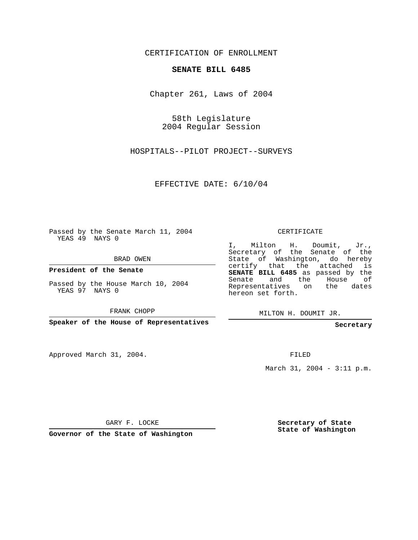CERTIFICATION OF ENROLLMENT

#### **SENATE BILL 6485**

Chapter 261, Laws of 2004

58th Legislature 2004 Regular Session

HOSPITALS--PILOT PROJECT--SURVEYS

EFFECTIVE DATE: 6/10/04

Passed by the Senate March 11, 2004 YEAS 49 NAYS 0

BRAD OWEN

**President of the Senate**

Passed by the House March 10, 2004 YEAS 97 NAYS 0

FRANK CHOPP

**Speaker of the House of Representatives**

Approved March 31, 2004.

CERTIFICATE

I, Milton H. Doumit, Jr., Secretary of the Senate of the State of Washington, do hereby certify that the attached is **SENATE BILL 6485** as passed by the Senate and the House of Representatives on the dates hereon set forth.

MILTON H. DOUMIT JR.

**Secretary**

FILED

March 31, 2004 - 3:11 p.m.

GARY F. LOCKE

**Governor of the State of Washington**

**Secretary of State State of Washington**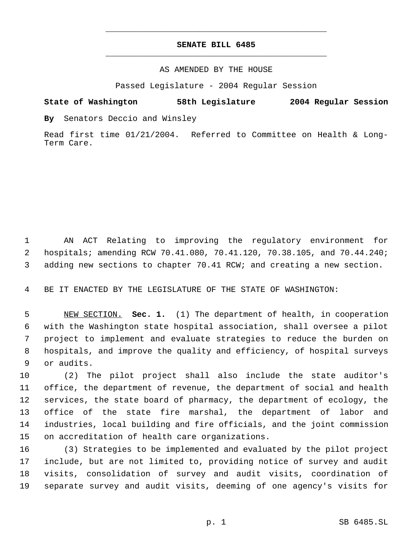# **SENATE BILL 6485** \_\_\_\_\_\_\_\_\_\_\_\_\_\_\_\_\_\_\_\_\_\_\_\_\_\_\_\_\_\_\_\_\_\_\_\_\_\_\_\_\_\_\_\_\_

\_\_\_\_\_\_\_\_\_\_\_\_\_\_\_\_\_\_\_\_\_\_\_\_\_\_\_\_\_\_\_\_\_\_\_\_\_\_\_\_\_\_\_\_\_

### AS AMENDED BY THE HOUSE

Passed Legislature - 2004 Regular Session

### **State of Washington 58th Legislature 2004 Regular Session**

**By** Senators Deccio and Winsley

Read first time 01/21/2004. Referred to Committee on Health & Long-Term Care.

 AN ACT Relating to improving the regulatory environment for hospitals; amending RCW 70.41.080, 70.41.120, 70.38.105, and 70.44.240; adding new sections to chapter 70.41 RCW; and creating a new section.

BE IT ENACTED BY THE LEGISLATURE OF THE STATE OF WASHINGTON:

 NEW SECTION. **Sec. 1.** (1) The department of health, in cooperation with the Washington state hospital association, shall oversee a pilot project to implement and evaluate strategies to reduce the burden on hospitals, and improve the quality and efficiency, of hospital surveys or audits.

 (2) The pilot project shall also include the state auditor's office, the department of revenue, the department of social and health services, the state board of pharmacy, the department of ecology, the office of the state fire marshal, the department of labor and industries, local building and fire officials, and the joint commission on accreditation of health care organizations.

 (3) Strategies to be implemented and evaluated by the pilot project include, but are not limited to, providing notice of survey and audit visits, consolidation of survey and audit visits, coordination of separate survey and audit visits, deeming of one agency's visits for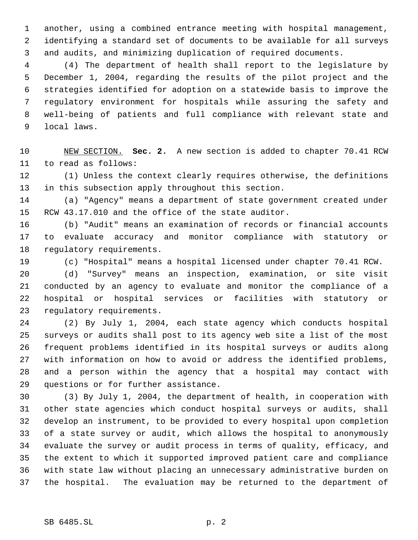another, using a combined entrance meeting with hospital management, identifying a standard set of documents to be available for all surveys and audits, and minimizing duplication of required documents.

 (4) The department of health shall report to the legislature by December 1, 2004, regarding the results of the pilot project and the strategies identified for adoption on a statewide basis to improve the regulatory environment for hospitals while assuring the safety and well-being of patients and full compliance with relevant state and local laws.

 NEW SECTION. **Sec. 2.** A new section is added to chapter 70.41 RCW to read as follows:

 (1) Unless the context clearly requires otherwise, the definitions in this subsection apply throughout this section.

 (a) "Agency" means a department of state government created under RCW 43.17.010 and the office of the state auditor.

 (b) "Audit" means an examination of records or financial accounts to evaluate accuracy and monitor compliance with statutory or regulatory requirements.

(c) "Hospital" means a hospital licensed under chapter 70.41 RCW.

 (d) "Survey" means an inspection, examination, or site visit conducted by an agency to evaluate and monitor the compliance of a hospital or hospital services or facilities with statutory or regulatory requirements.

 (2) By July 1, 2004, each state agency which conducts hospital surveys or audits shall post to its agency web site a list of the most frequent problems identified in its hospital surveys or audits along with information on how to avoid or address the identified problems, and a person within the agency that a hospital may contact with questions or for further assistance.

 (3) By July 1, 2004, the department of health, in cooperation with other state agencies which conduct hospital surveys or audits, shall develop an instrument, to be provided to every hospital upon completion of a state survey or audit, which allows the hospital to anonymously evaluate the survey or audit process in terms of quality, efficacy, and the extent to which it supported improved patient care and compliance with state law without placing an unnecessary administrative burden on the hospital. The evaluation may be returned to the department of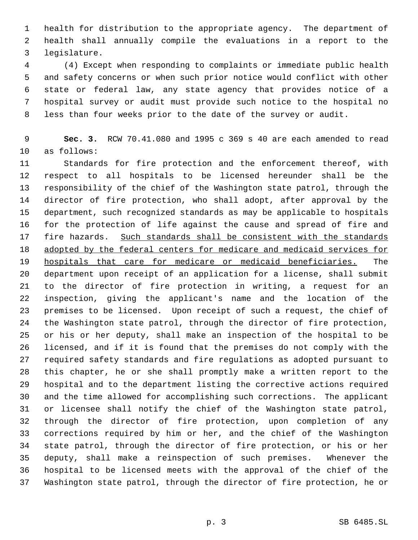health for distribution to the appropriate agency. The department of health shall annually compile the evaluations in a report to the legislature.

 (4) Except when responding to complaints or immediate public health and safety concerns or when such prior notice would conflict with other state or federal law, any state agency that provides notice of a hospital survey or audit must provide such notice to the hospital no less than four weeks prior to the date of the survey or audit.

 **Sec. 3.** RCW 70.41.080 and 1995 c 369 s 40 are each amended to read as follows:

 Standards for fire protection and the enforcement thereof, with respect to all hospitals to be licensed hereunder shall be the responsibility of the chief of the Washington state patrol, through the director of fire protection, who shall adopt, after approval by the department, such recognized standards as may be applicable to hospitals for the protection of life against the cause and spread of fire and 17 fire hazards. Such standards shall be consistent with the standards 18 adopted by the federal centers for medicare and medicaid services for hospitals that care for medicare or medicaid beneficiaries. The department upon receipt of an application for a license, shall submit to the director of fire protection in writing, a request for an inspection, giving the applicant's name and the location of the premises to be licensed. Upon receipt of such a request, the chief of the Washington state patrol, through the director of fire protection, or his or her deputy, shall make an inspection of the hospital to be licensed, and if it is found that the premises do not comply with the required safety standards and fire regulations as adopted pursuant to this chapter, he or she shall promptly make a written report to the hospital and to the department listing the corrective actions required and the time allowed for accomplishing such corrections. The applicant or licensee shall notify the chief of the Washington state patrol, through the director of fire protection, upon completion of any corrections required by him or her, and the chief of the Washington state patrol, through the director of fire protection, or his or her deputy, shall make a reinspection of such premises. Whenever the hospital to be licensed meets with the approval of the chief of the Washington state patrol, through the director of fire protection, he or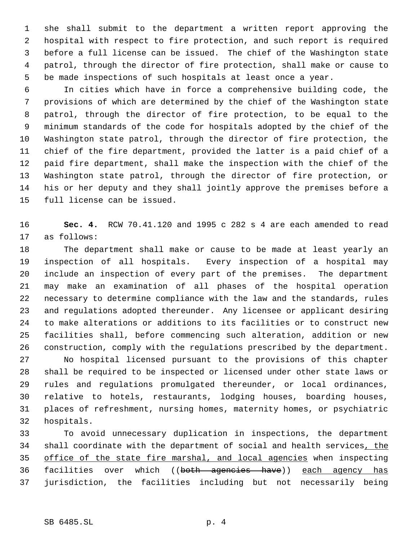she shall submit to the department a written report approving the hospital with respect to fire protection, and such report is required before a full license can be issued. The chief of the Washington state patrol, through the director of fire protection, shall make or cause to be made inspections of such hospitals at least once a year.

 In cities which have in force a comprehensive building code, the provisions of which are determined by the chief of the Washington state patrol, through the director of fire protection, to be equal to the minimum standards of the code for hospitals adopted by the chief of the Washington state patrol, through the director of fire protection, the chief of the fire department, provided the latter is a paid chief of a paid fire department, shall make the inspection with the chief of the Washington state patrol, through the director of fire protection, or his or her deputy and they shall jointly approve the premises before a full license can be issued.

 **Sec. 4.** RCW 70.41.120 and 1995 c 282 s 4 are each amended to read as follows:

 The department shall make or cause to be made at least yearly an inspection of all hospitals. Every inspection of a hospital may include an inspection of every part of the premises. The department may make an examination of all phases of the hospital operation necessary to determine compliance with the law and the standards, rules and regulations adopted thereunder. Any licensee or applicant desiring to make alterations or additions to its facilities or to construct new facilities shall, before commencing such alteration, addition or new construction, comply with the regulations prescribed by the department.

 No hospital licensed pursuant to the provisions of this chapter shall be required to be inspected or licensed under other state laws or rules and regulations promulgated thereunder, or local ordinances, relative to hotels, restaurants, lodging houses, boarding houses, places of refreshment, nursing homes, maternity homes, or psychiatric hospitals.

 To avoid unnecessary duplication in inspections, the department 34 shall coordinate with the department of social and health services, the office of the state fire marshal, and local agencies when inspecting 36 facilities over which ((both agencies have)) each agency has jurisdiction, the facilities including but not necessarily being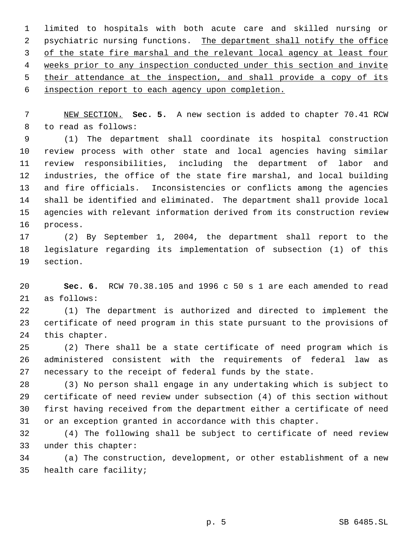limited to hospitals with both acute care and skilled nursing or 2 psychiatric nursing functions. The department shall notify the office 3 of the state fire marshal and the relevant local agency at least four weeks prior to any inspection conducted under this section and invite 5 their attendance at the inspection, and shall provide a copy of its

inspection report to each agency upon completion.

 NEW SECTION. **Sec. 5.** A new section is added to chapter 70.41 RCW to read as follows:

 (1) The department shall coordinate its hospital construction review process with other state and local agencies having similar review responsibilities, including the department of labor and industries, the office of the state fire marshal, and local building and fire officials. Inconsistencies or conflicts among the agencies shall be identified and eliminated. The department shall provide local agencies with relevant information derived from its construction review process.

 (2) By September 1, 2004, the department shall report to the legislature regarding its implementation of subsection (1) of this section.

 **Sec. 6.** RCW 70.38.105 and 1996 c 50 s 1 are each amended to read as follows:

 (1) The department is authorized and directed to implement the certificate of need program in this state pursuant to the provisions of this chapter.

 (2) There shall be a state certificate of need program which is administered consistent with the requirements of federal law as necessary to the receipt of federal funds by the state.

 (3) No person shall engage in any undertaking which is subject to certificate of need review under subsection (4) of this section without first having received from the department either a certificate of need or an exception granted in accordance with this chapter.

 (4) The following shall be subject to certificate of need review under this chapter:

 (a) The construction, development, or other establishment of a new health care facility;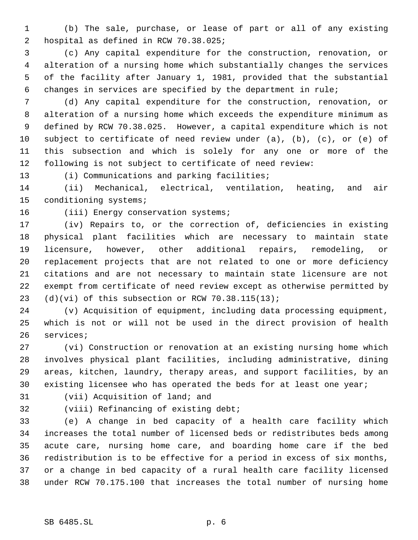(b) The sale, purchase, or lease of part or all of any existing hospital as defined in RCW 70.38.025;

 (c) Any capital expenditure for the construction, renovation, or alteration of a nursing home which substantially changes the services of the facility after January 1, 1981, provided that the substantial changes in services are specified by the department in rule;

 (d) Any capital expenditure for the construction, renovation, or alteration of a nursing home which exceeds the expenditure minimum as defined by RCW 70.38.025. However, a capital expenditure which is not subject to certificate of need review under (a), (b), (c), or (e) of this subsection and which is solely for any one or more of the following is not subject to certificate of need review:

(i) Communications and parking facilities;

 (ii) Mechanical, electrical, ventilation, heating, and air conditioning systems;

## 16 (iii) Energy conservation systems;

 (iv) Repairs to, or the correction of, deficiencies in existing physical plant facilities which are necessary to maintain state licensure, however, other additional repairs, remodeling, or replacement projects that are not related to one or more deficiency citations and are not necessary to maintain state licensure are not exempt from certificate of need review except as otherwise permitted by (d)(vi) of this subsection or RCW 70.38.115(13);

 (v) Acquisition of equipment, including data processing equipment, which is not or will not be used in the direct provision of health services;

 (vi) Construction or renovation at an existing nursing home which involves physical plant facilities, including administrative, dining areas, kitchen, laundry, therapy areas, and support facilities, by an existing licensee who has operated the beds for at least one year;

(vii) Acquisition of land; and

(viii) Refinancing of existing debt;

 (e) A change in bed capacity of a health care facility which increases the total number of licensed beds or redistributes beds among acute care, nursing home care, and boarding home care if the bed redistribution is to be effective for a period in excess of six months, or a change in bed capacity of a rural health care facility licensed under RCW 70.175.100 that increases the total number of nursing home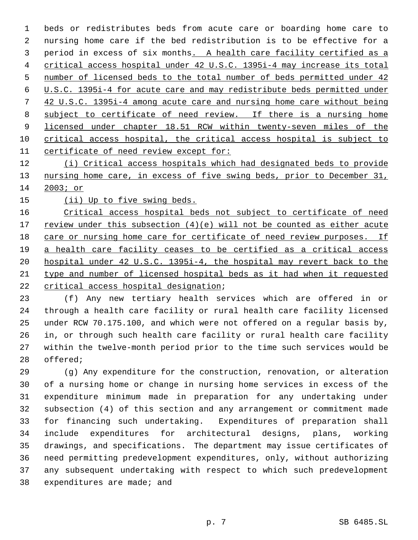beds or redistributes beds from acute care or boarding home care to nursing home care if the bed redistribution is to be effective for a period in excess of six months. A health care facility certified as a critical access hospital under 42 U.S.C. 1395i-4 may increase its total number of licensed beds to the total number of beds permitted under 42 U.S.C. 1395i-4 for acute care and may redistribute beds permitted under 42 U.S.C. 1395i-4 among acute care and nursing home care without being subject to certificate of need review. If there is a nursing home 9 licensed under chapter 18.51 RCW within twenty-seven miles of the critical access hospital, the critical access hospital is subject to certificate of need review except for:

 (i) Critical access hospitals which had designated beds to provide 13 nursing home care, in excess of five swing beds, prior to December 31, 2003; or

(ii) Up to five swing beds.

 Critical access hospital beds not subject to certificate of need 17 review under this subsection  $(4)(e)$  will not be counted as either acute care or nursing home care for certificate of need review purposes. If a health care facility ceases to be certified as a critical access hospital under 42 U.S.C. 1395i-4, the hospital may revert back to the type and number of licensed hospital beds as it had when it requested critical access hospital designation;

 (f) Any new tertiary health services which are offered in or through a health care facility or rural health care facility licensed under RCW 70.175.100, and which were not offered on a regular basis by, in, or through such health care facility or rural health care facility within the twelve-month period prior to the time such services would be offered;

 (g) Any expenditure for the construction, renovation, or alteration of a nursing home or change in nursing home services in excess of the expenditure minimum made in preparation for any undertaking under subsection (4) of this section and any arrangement or commitment made for financing such undertaking. Expenditures of preparation shall include expenditures for architectural designs, plans, working drawings, and specifications. The department may issue certificates of need permitting predevelopment expenditures, only, without authorizing any subsequent undertaking with respect to which such predevelopment expenditures are made; and